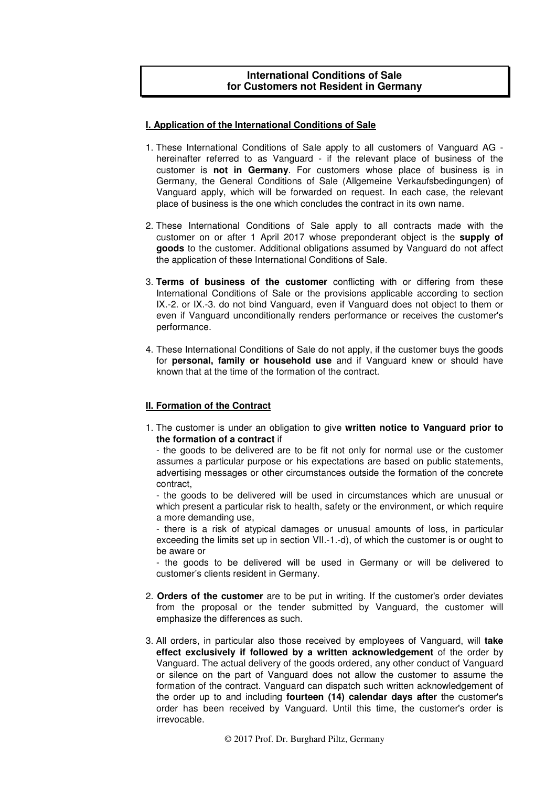# **International Conditions of Sale for Customers not Resident in Germany**

### **I. Application of the International Conditions of Sale**

- 1. These International Conditions of Sale apply to all customers of Vanguard AG hereinafter referred to as Vanguard - if the relevant place of business of the customer is **not in Germany**. For customers whose place of business is in Germany, the General Conditions of Sale (Allgemeine Verkaufsbedingungen) of Vanguard apply, which will be forwarded on request. In each case, the relevant place of business is the one which concludes the contract in its own name.
- 2. These International Conditions of Sale apply to all contracts made with the customer on or after 1 April 2017 whose preponderant object is the **supply of goods** to the customer. Additional obligations assumed by Vanguard do not affect the application of these International Conditions of Sale.
- 3. **Terms of business of the customer** conflicting with or differing from these International Conditions of Sale or the provisions applicable according to section IX.-2. or IX.-3. do not bind Vanguard, even if Vanguard does not object to them or even if Vanguard unconditionally renders performance or receives the customer's performance.
- 4. These International Conditions of Sale do not apply, if the customer buys the goods for **personal, family or household use** and if Vanguard knew or should have known that at the time of the formation of the contract.

### **II. Formation of the Contract**

1. The customer is under an obligation to give **written notice to Vanguard prior to the formation of a contract** if

- the goods to be delivered are to be fit not only for normal use or the customer assumes a particular purpose or his expectations are based on public statements, advertising messages or other circumstances outside the formation of the concrete contract,

- the goods to be delivered will be used in circumstances which are unusual or which present a particular risk to health, safety or the environment, or which require a more demanding use,

- there is a risk of atypical damages or unusual amounts of loss, in particular exceeding the limits set up in section VII.-1.-d), of which the customer is or ought to be aware or

- the goods to be delivered will be used in Germany or will be delivered to customer's clients resident in Germany.

- 2. **Orders of the customer** are to be put in writing. If the customer's order deviates from the proposal or the tender submitted by Vanguard, the customer will emphasize the differences as such.
- 3. All orders, in particular also those received by employees of Vanguard, will **take effect exclusively if followed by a written acknowledgement** of the order by Vanguard. The actual delivery of the goods ordered, any other conduct of Vanguard or silence on the part of Vanguard does not allow the customer to assume the formation of the contract. Vanguard can dispatch such written acknowledgement of the order up to and including **fourteen (14) calendar days after** the customer's order has been received by Vanguard. Until this time, the customer's order is irrevocable.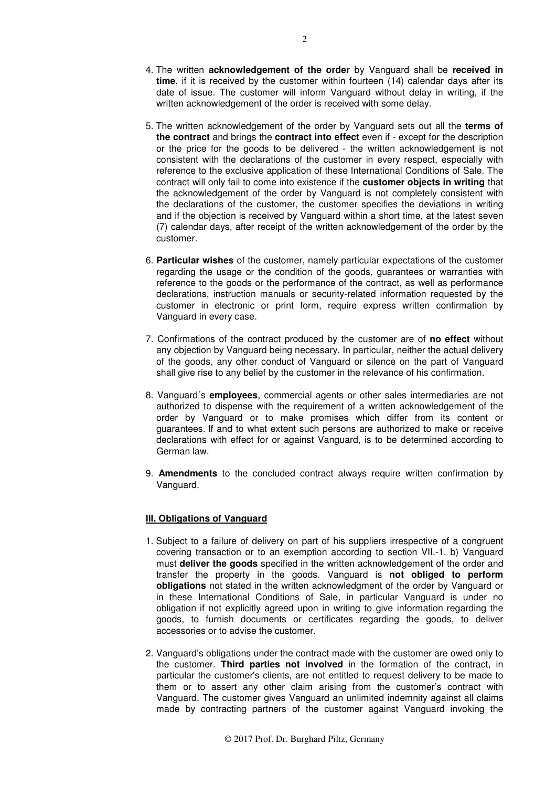- 4. The written **acknowledgement of the order** by Vanguard shall be **received in time**, if it is received by the customer within fourteen (14) calendar days after its date of issue. The customer will inform Vanguard without delay in writing, if the written acknowledgement of the order is received with some delay.
- 5. The written acknowledgement of the order by Vanguard sets out all the **terms of the contract** and brings the **contract into effect** even if - except for the description or the price for the goods to be delivered - the written acknowledgement is not consistent with the declarations of the customer in every respect, especially with reference to the exclusive application of these International Conditions of Sale. The contract will only fail to come into existence if the **customer objects in writing** that the acknowledgement of the order by Vanguard is not completely consistent with the declarations of the customer, the customer specifies the deviations in writing and if the objection is received by Vanguard within a short time, at the latest seven (7) calendar days, after receipt of the written acknowledgement of the order by the customer.
- 6. **Particular wishes** of the customer, namely particular expectations of the customer regarding the usage or the condition of the goods, guarantees or warranties with reference to the goods or the performance of the contract, as well as performance declarations, instruction manuals or security-related information requested by the customer in electronic or print form, require express written confirmation by Vanguard in every case.
- 7. Confirmations of the contract produced by the customer are of **no effect** without any objection by Vanguard being necessary. In particular, neither the actual delivery of the goods, any other conduct of Vanguard or silence on the part of Vanguard shall give rise to any belief by the customer in the relevance of his confirmation.
- 8. Vanguard´s **employees**, commercial agents or other sales intermediaries are not authorized to dispense with the requirement of a written acknowledgement of the order by Vanguard or to make promises which differ from its content or guarantees. If and to what extent such persons are authorized to make or receive declarations with effect for or against Vanguard, is to be determined according to German law.
- 9. **Amendments** to the concluded contract always require written confirmation by Vanguard.

### **III. Obligations of Vanguard**

- 1. Subject to a failure of delivery on part of his suppliers irrespective of a congruent covering transaction or to an exemption according to section VII.-1. b) Vanguard must **deliver the goods** specified in the written acknowledgement of the order and transfer the property in the goods. Vanguard is **not obliged to perform obligations** not stated in the written acknowledgment of the order by Vanguard or in these International Conditions of Sale, in particular Vanguard is under no obligation if not explicitly agreed upon in writing to give information regarding the goods, to furnish documents or certificates regarding the goods, to deliver accessories or to advise the customer.
- 2. Vanguard's obligations under the contract made with the customer are owed only to the customer. **Third parties not involved** in the formation of the contract, in particular the customer's clients, are not entitled to request delivery to be made to them or to assert any other claim arising from the customer's contract with Vanguard. The customer gives Vanguard an unlimited indemnity against all claims made by contracting partners of the customer against Vanguard invoking the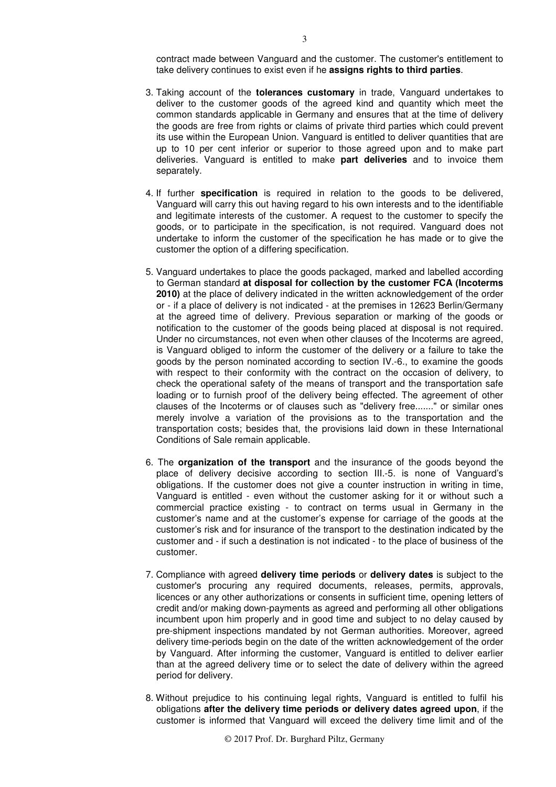contract made between Vanguard and the customer. The customer's entitlement to take delivery continues to exist even if he **assigns rights to third parties**.

- 3. Taking account of the **tolerances customary** in trade, Vanguard undertakes to deliver to the customer goods of the agreed kind and quantity which meet the common standards applicable in Germany and ensures that at the time of delivery the goods are free from rights or claims of private third parties which could prevent its use within the European Union. Vanguard is entitled to deliver quantities that are up to 10 per cent inferior or superior to those agreed upon and to make part deliveries. Vanguard is entitled to make **part deliveries** and to invoice them separately.
- 4. If further **specification** is required in relation to the goods to be delivered, Vanguard will carry this out having regard to his own interests and to the identifiable and legitimate interests of the customer. A request to the customer to specify the goods, or to participate in the specification, is not required. Vanguard does not undertake to inform the customer of the specification he has made or to give the customer the option of a differing specification.
- 5. Vanguard undertakes to place the goods packaged, marked and labelled according to German standard **at disposal for collection by the customer FCA (Incoterms 2010)** at the place of delivery indicated in the written acknowledgement of the order or - if a place of delivery is not indicated - at the premises in 12623 Berlin/Germany at the agreed time of delivery. Previous separation or marking of the goods or notification to the customer of the goods being placed at disposal is not required. Under no circumstances, not even when other clauses of the Incoterms are agreed, is Vanguard obliged to inform the customer of the delivery or a failure to take the goods by the person nominated according to section IV.-6., to examine the goods with respect to their conformity with the contract on the occasion of delivery, to check the operational safety of the means of transport and the transportation safe loading or to furnish proof of the delivery being effected. The agreement of other clauses of the Incoterms or of clauses such as "delivery free......." or similar ones merely involve a variation of the provisions as to the transportation and the transportation costs; besides that, the provisions laid down in these International Conditions of Sale remain applicable.
- 6. The **organization of the transport** and the insurance of the goods beyond the place of delivery decisive according to section III.-5. is none of Vanguard's obligations. If the customer does not give a counter instruction in writing in time, Vanguard is entitled - even without the customer asking for it or without such a commercial practice existing - to contract on terms usual in Germany in the customer's name and at the customer's expense for carriage of the goods at the customer's risk and for insurance of the transport to the destination indicated by the customer and - if such a destination is not indicated - to the place of business of the customer.
- 7. Compliance with agreed **delivery time periods** or **delivery dates** is subject to the customer's procuring any required documents, releases, permits, approvals, licences or any other authorizations or consents in sufficient time, opening letters of credit and/or making down-payments as agreed and performing all other obligations incumbent upon him properly and in good time and subject to no delay caused by pre-shipment inspections mandated by not German authorities. Moreover, agreed delivery time-periods begin on the date of the written acknowledgement of the order by Vanguard. After informing the customer, Vanguard is entitled to deliver earlier than at the agreed delivery time or to select the date of delivery within the agreed period for delivery.
- 8. Without prejudice to his continuing legal rights, Vanguard is entitled to fulfil his obligations **after the delivery time periods or delivery dates agreed upon**, if the customer is informed that Vanguard will exceed the delivery time limit and of the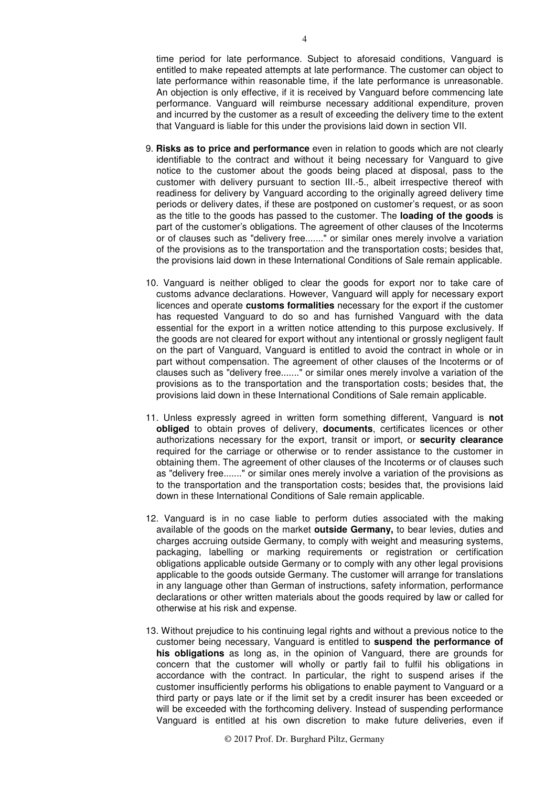time period for late performance. Subject to aforesaid conditions, Vanguard is entitled to make repeated attempts at late performance. The customer can object to late performance within reasonable time, if the late performance is unreasonable. An objection is only effective, if it is received by Vanguard before commencing late performance. Vanguard will reimburse necessary additional expenditure, proven and incurred by the customer as a result of exceeding the delivery time to the extent that Vanguard is liable for this under the provisions laid down in section VII.

- 9. **Risks as to price and performance** even in relation to goods which are not clearly identifiable to the contract and without it being necessary for Vanguard to give notice to the customer about the goods being placed at disposal, pass to the customer with delivery pursuant to section III.-5., albeit irrespective thereof with readiness for delivery by Vanguard according to the originally agreed delivery time periods or delivery dates, if these are postponed on customer's request, or as soon as the title to the goods has passed to the customer. The **loading of the goods** is part of the customer's obligations. The agreement of other clauses of the Incoterms or of clauses such as "delivery free......." or similar ones merely involve a variation of the provisions as to the transportation and the transportation costs; besides that, the provisions laid down in these International Conditions of Sale remain applicable.
- 10. Vanguard is neither obliged to clear the goods for export nor to take care of customs advance declarations. However, Vanguard will apply for necessary export licences and operate **customs formalities** necessary for the export if the customer has requested Vanguard to do so and has furnished Vanguard with the data essential for the export in a written notice attending to this purpose exclusively. If the goods are not cleared for export without any intentional or grossly negligent fault on the part of Vanguard, Vanguard is entitled to avoid the contract in whole or in part without compensation. The agreement of other clauses of the Incoterms or of clauses such as "delivery free......." or similar ones merely involve a variation of the provisions as to the transportation and the transportation costs; besides that, the provisions laid down in these International Conditions of Sale remain applicable.
- 11. Unless expressly agreed in written form something different, Vanguard is **not obliged** to obtain proves of delivery, **documents**, certificates licences or other authorizations necessary for the export, transit or import, or **security clearance**  required for the carriage or otherwise or to render assistance to the customer in obtaining them. The agreement of other clauses of the Incoterms or of clauses such as "delivery free......." or similar ones merely involve a variation of the provisions as to the transportation and the transportation costs; besides that, the provisions laid down in these International Conditions of Sale remain applicable.
- 12. Vanguard is in no case liable to perform duties associated with the making available of the goods on the market **outside Germany,** to bear levies, duties and charges accruing outside Germany, to comply with weight and measuring systems, packaging, labelling or marking requirements or registration or certification obligations applicable outside Germany or to comply with any other legal provisions applicable to the goods outside Germany. The customer will arrange for translations in any language other than German of instructions, safety information, performance declarations or other written materials about the goods required by law or called for otherwise at his risk and expense.
- 13. Without prejudice to his continuing legal rights and without a previous notice to the customer being necessary, Vanguard is entitled to **suspend the performance of his obligations** as long as, in the opinion of Vanguard, there are grounds for concern that the customer will wholly or partly fail to fulfil his obligations in accordance with the contract. In particular, the right to suspend arises if the customer insufficiently performs his obligations to enable payment to Vanguard or a third party or pays late or if the limit set by a credit insurer has been exceeded or will be exceeded with the forthcoming delivery. Instead of suspending performance Vanguard is entitled at his own discretion to make future deliveries, even if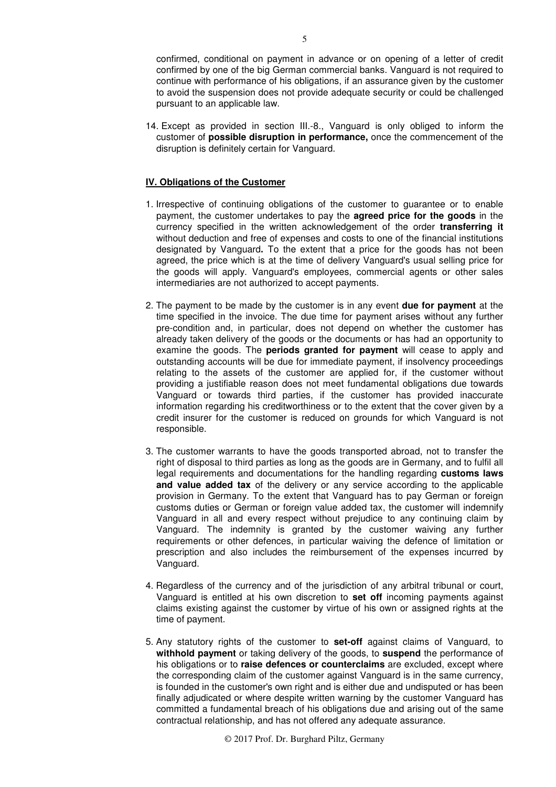confirmed, conditional on payment in advance or on opening of a letter of credit confirmed by one of the big German commercial banks. Vanguard is not required to continue with performance of his obligations, if an assurance given by the customer to avoid the suspension does not provide adequate security or could be challenged pursuant to an applicable law.

14. Except as provided in section III.-8., Vanguard is only obliged to inform the customer of **possible disruption in performance,** once the commencement of the disruption is definitely certain for Vanguard.

# **IV. Obligations of the Customer**

- 1. Irrespective of continuing obligations of the customer to guarantee or to enable payment, the customer undertakes to pay the **agreed price for the goods** in the currency specified in the written acknowledgement of the order **transferring it** without deduction and free of expenses and costs to one of the financial institutions designated by Vanguard**.** To the extent that a price for the goods has not been agreed, the price which is at the time of delivery Vanguard's usual selling price for the goods will apply. Vanguard's employees, commercial agents or other sales intermediaries are not authorized to accept payments.
- 2. The payment to be made by the customer is in any event **due for payment** at the time specified in the invoice. The due time for payment arises without any further pre-condition and, in particular, does not depend on whether the customer has already taken delivery of the goods or the documents or has had an opportunity to examine the goods. The **periods granted for payment** will cease to apply and outstanding accounts will be due for immediate payment, if insolvency proceedings relating to the assets of the customer are applied for, if the customer without providing a justifiable reason does not meet fundamental obligations due towards Vanguard or towards third parties, if the customer has provided inaccurate information regarding his creditworthiness or to the extent that the cover given by a credit insurer for the customer is reduced on grounds for which Vanguard is not responsible.
- 3. The customer warrants to have the goods transported abroad, not to transfer the right of disposal to third parties as long as the goods are in Germany, and to fulfil all legal requirements and documentations for the handling regarding **customs laws and value added tax** of the delivery or any service according to the applicable provision in Germany. To the extent that Vanguard has to pay German or foreign customs duties or German or foreign value added tax, the customer will indemnify Vanguard in all and every respect without prejudice to any continuing claim by Vanguard. The indemnity is granted by the customer waiving any further requirements or other defences, in particular waiving the defence of limitation or prescription and also includes the reimbursement of the expenses incurred by Vanguard.
- 4. Regardless of the currency and of the jurisdiction of any arbitral tribunal or court, Vanguard is entitled at his own discretion to **set off** incoming payments against claims existing against the customer by virtue of his own or assigned rights at the time of payment.
- 5. Any statutory rights of the customer to **set-off** against claims of Vanguard, to **withhold payment** or taking delivery of the goods, to **suspend** the performance of his obligations or to **raise defences or counterclaims** are excluded, except where the corresponding claim of the customer against Vanguard is in the same currency, is founded in the customer's own right and is either due and undisputed or has been finally adjudicated or where despite written warning by the customer Vanguard has committed a fundamental breach of his obligations due and arising out of the same contractual relationship, and has not offered any adequate assurance.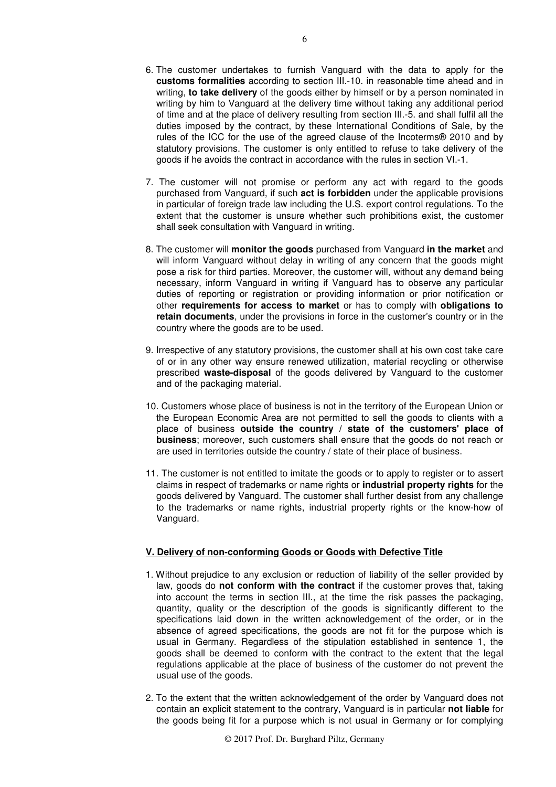- 6. The customer undertakes to furnish Vanguard with the data to apply for the **customs formalities** according to section III.-10. in reasonable time ahead and in writing, **to take delivery** of the goods either by himself or by a person nominated in writing by him to Vanguard at the delivery time without taking any additional period of time and at the place of delivery resulting from section III.-5. and shall fulfil all the duties imposed by the contract, by these International Conditions of Sale, by the rules of the ICC for the use of the agreed clause of the Incoterms® 2010 and by statutory provisions. The customer is only entitled to refuse to take delivery of the goods if he avoids the contract in accordance with the rules in section VI.-1.
- 7. The customer will not promise or perform any act with regard to the goods purchased from Vanguard, if such **act is forbidden** under the applicable provisions in particular of foreign trade law including the U.S. export control regulations. To the extent that the customer is unsure whether such prohibitions exist, the customer shall seek consultation with Vanguard in writing.
- 8. The customer will **monitor the goods** purchased from Vanguard **in the market** and will inform Vanguard without delay in writing of any concern that the goods might pose a risk for third parties. Moreover, the customer will, without any demand being necessary, inform Vanguard in writing if Vanguard has to observe any particular duties of reporting or registration or providing information or prior notification or other **requirements for access to market** or has to comply with **obligations to retain documents**, under the provisions in force in the customer's country or in the country where the goods are to be used.
- 9. Irrespective of any statutory provisions, the customer shall at his own cost take care of or in any other way ensure renewed utilization, material recycling or otherwise prescribed **waste-disposal** of the goods delivered by Vanguard to the customer and of the packaging material.
- 10. Customers whose place of business is not in the territory of the European Union or the European Economic Area are not permitted to sell the goods to clients with a place of business **outside the country / state of the customers' place of business**; moreover, such customers shall ensure that the goods do not reach or are used in territories outside the country / state of their place of business.
- 11. The customer is not entitled to imitate the goods or to apply to register or to assert claims in respect of trademarks or name rights or **industrial property rights** for the goods delivered by Vanguard. The customer shall further desist from any challenge to the trademarks or name rights, industrial property rights or the know-how of Vanguard.

### **V. Delivery of non-conforming Goods or Goods with Defective Title**

- 1. Without prejudice to any exclusion or reduction of liability of the seller provided by law, goods do **not conform with the contract** if the customer proves that, taking into account the terms in section III., at the time the risk passes the packaging, quantity, quality or the description of the goods is significantly different to the specifications laid down in the written acknowledgement of the order, or in the absence of agreed specifications, the goods are not fit for the purpose which is usual in Germany. Regardless of the stipulation established in sentence 1, the goods shall be deemed to conform with the contract to the extent that the legal regulations applicable at the place of business of the customer do not prevent the usual use of the goods.
- 2. To the extent that the written acknowledgement of the order by Vanguard does not contain an explicit statement to the contrary, Vanguard is in particular **not liable** for the goods being fit for a purpose which is not usual in Germany or for complying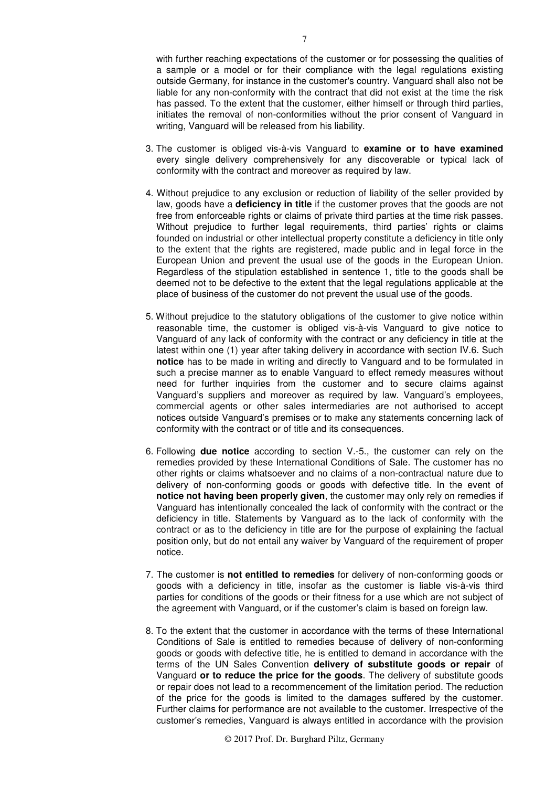with further reaching expectations of the customer or for possessing the qualities of a sample or a model or for their compliance with the legal regulations existing outside Germany, for instance in the customer's country. Vanguard shall also not be liable for any non-conformity with the contract that did not exist at the time the risk has passed. To the extent that the customer, either himself or through third parties, initiates the removal of non-conformities without the prior consent of Vanguard in writing, Vanguard will be released from his liability.

- 3. The customer is obliged vis-à-vis Vanguard to **examine or to have examined**  every single delivery comprehensively for any discoverable or typical lack of conformity with the contract and moreover as required by law.
- 4. Without prejudice to any exclusion or reduction of liability of the seller provided by law, goods have a **deficiency in title** if the customer proves that the goods are not free from enforceable rights or claims of private third parties at the time risk passes. Without prejudice to further legal requirements, third parties' rights or claims founded on industrial or other intellectual property constitute a deficiency in title only to the extent that the rights are registered, made public and in legal force in the European Union and prevent the usual use of the goods in the European Union. Regardless of the stipulation established in sentence 1, title to the goods shall be deemed not to be defective to the extent that the legal regulations applicable at the place of business of the customer do not prevent the usual use of the goods.
- 5. Without prejudice to the statutory obligations of the customer to give notice within reasonable time, the customer is obliged vis-à-vis Vanguard to give notice to Vanguard of any lack of conformity with the contract or any deficiency in title at the latest within one (1) year after taking delivery in accordance with section IV.6. Such **notice** has to be made in writing and directly to Vanguard and to be formulated in such a precise manner as to enable Vanguard to effect remedy measures without need for further inquiries from the customer and to secure claims against Vanguard's suppliers and moreover as required by law. Vanguard's employees, commercial agents or other sales intermediaries are not authorised to accept notices outside Vanguard's premises or to make any statements concerning lack of conformity with the contract or of title and its consequences.
- 6. Following **due notice** according to section V.-5., the customer can rely on the remedies provided by these International Conditions of Sale. The customer has no other rights or claims whatsoever and no claims of a non-contractual nature due to delivery of non-conforming goods or goods with defective title. In the event of **notice not having been properly given**, the customer may only rely on remedies if Vanguard has intentionally concealed the lack of conformity with the contract or the deficiency in title. Statements by Vanguard as to the lack of conformity with the contract or as to the deficiency in title are for the purpose of explaining the factual position only, but do not entail any waiver by Vanguard of the requirement of proper notice.
- 7. The customer is **not entitled to remedies** for delivery of non-conforming goods or goods with a deficiency in title, insofar as the customer is liable vis-à-vis third parties for conditions of the goods or their fitness for a use which are not subject of the agreement with Vanguard, or if the customer's claim is based on foreign law.
- 8. To the extent that the customer in accordance with the terms of these International Conditions of Sale is entitled to remedies because of delivery of non-conforming goods or goods with defective title, he is entitled to demand in accordance with the terms of the UN Sales Convention **delivery of substitute goods or repair** of Vanguard **or to reduce the price for the goods**. The delivery of substitute goods or repair does not lead to a recommencement of the limitation period. The reduction of the price for the goods is limited to the damages suffered by the customer. Further claims for performance are not available to the customer. Irrespective of the customer's remedies, Vanguard is always entitled in accordance with the provision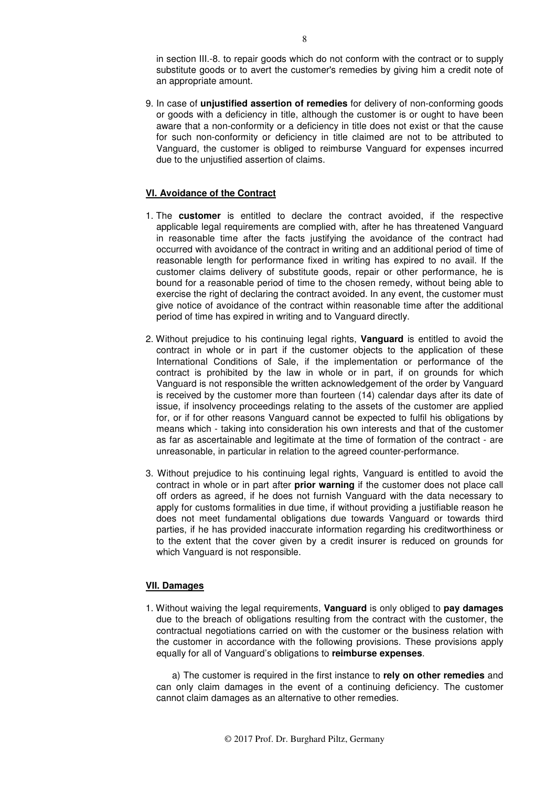in section III.-8. to repair goods which do not conform with the contract or to supply substitute goods or to avert the customer's remedies by giving him a credit note of an appropriate amount.

9. In case of **unjustified assertion of remedies** for delivery of non-conforming goods or goods with a deficiency in title, although the customer is or ought to have been aware that a non-conformity or a deficiency in title does not exist or that the cause for such non-conformity or deficiency in title claimed are not to be attributed to Vanguard, the customer is obliged to reimburse Vanguard for expenses incurred due to the unjustified assertion of claims.

### **VI. Avoidance of the Contract**

- 1. The **customer** is entitled to declare the contract avoided, if the respective applicable legal requirements are complied with, after he has threatened Vanguard in reasonable time after the facts justifying the avoidance of the contract had occurred with avoidance of the contract in writing and an additional period of time of reasonable length for performance fixed in writing has expired to no avail. If the customer claims delivery of substitute goods, repair or other performance, he is bound for a reasonable period of time to the chosen remedy, without being able to exercise the right of declaring the contract avoided. In any event, the customer must give notice of avoidance of the contract within reasonable time after the additional period of time has expired in writing and to Vanguard directly.
- 2. Without prejudice to his continuing legal rights, **Vanguard** is entitled to avoid the contract in whole or in part if the customer objects to the application of these International Conditions of Sale, if the implementation or performance of the contract is prohibited by the law in whole or in part, if on grounds for which Vanguard is not responsible the written acknowledgement of the order by Vanguard is received by the customer more than fourteen (14) calendar days after its date of issue, if insolvency proceedings relating to the assets of the customer are applied for, or if for other reasons Vanguard cannot be expected to fulfil his obligations by means which - taking into consideration his own interests and that of the customer as far as ascertainable and legitimate at the time of formation of the contract - are unreasonable, in particular in relation to the agreed counter-performance.
- 3. Without prejudice to his continuing legal rights, Vanguard is entitled to avoid the contract in whole or in part after **prior warning** if the customer does not place call off orders as agreed, if he does not furnish Vanguard with the data necessary to apply for customs formalities in due time, if without providing a justifiable reason he does not meet fundamental obligations due towards Vanguard or towards third parties, if he has provided inaccurate information regarding his creditworthiness or to the extent that the cover given by a credit insurer is reduced on grounds for which Vanguard is not responsible.

#### **VII. Damages**

1. Without waiving the legal requirements, **Vanguard** is only obliged to **pay damages** due to the breach of obligations resulting from the contract with the customer, the contractual negotiations carried on with the customer or the business relation with the customer in accordance with the following provisions. These provisions apply equally for all of Vanguard's obligations to **reimburse expenses**.

a) The customer is required in the first instance to **rely on other remedies** and can only claim damages in the event of a continuing deficiency. The customer cannot claim damages as an alternative to other remedies.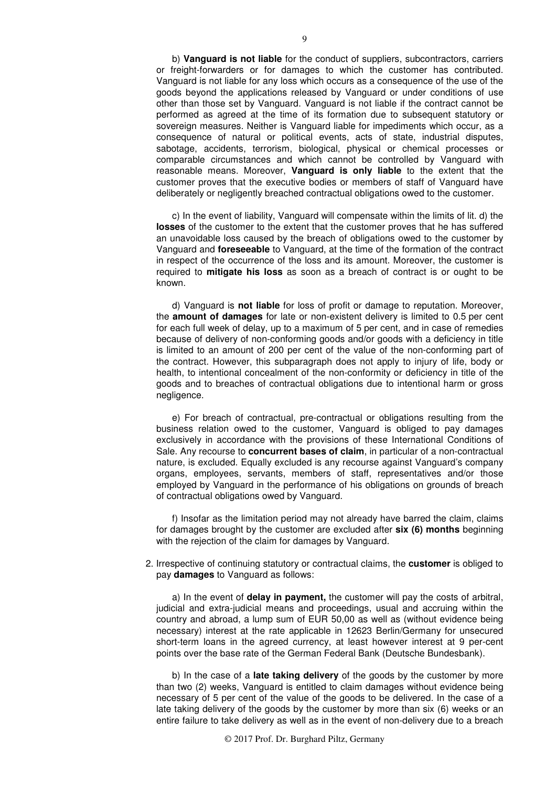b) **Vanguard is not liable** for the conduct of suppliers, subcontractors, carriers or freight-forwarders or for damages to which the customer has contributed. Vanguard is not liable for any loss which occurs as a consequence of the use of the goods beyond the applications released by Vanguard or under conditions of use other than those set by Vanguard. Vanguard is not liable if the contract cannot be performed as agreed at the time of its formation due to subsequent statutory or sovereign measures. Neither is Vanguard liable for impediments which occur, as a consequence of natural or political events, acts of state, industrial disputes, sabotage, accidents, terrorism, biological, physical or chemical processes or comparable circumstances and which cannot be controlled by Vanguard with reasonable means. Moreover, **Vanguard is only liable** to the extent that the customer proves that the executive bodies or members of staff of Vanguard have deliberately or negligently breached contractual obligations owed to the customer.

c) In the event of liability, Vanguard will compensate within the limits of lit. d) the **losses** of the customer to the extent that the customer proves that he has suffered an unavoidable loss caused by the breach of obligations owed to the customer by Vanguard and **foreseeable** to Vanguard, at the time of the formation of the contract in respect of the occurrence of the loss and its amount. Moreover, the customer is required to **mitigate his loss** as soon as a breach of contract is or ought to be known.

d) Vanguard is **not liable** for loss of profit or damage to reputation. Moreover, the **amount of damages** for late or non-existent delivery is limited to 0.5 per cent for each full week of delay, up to a maximum of 5 per cent, and in case of remedies because of delivery of non-conforming goods and/or goods with a deficiency in title is limited to an amount of 200 per cent of the value of the non-conforming part of the contract. However, this subparagraph does not apply to injury of life, body or health, to intentional concealment of the non-conformity or deficiency in title of the goods and to breaches of contractual obligations due to intentional harm or gross negligence.

e) For breach of contractual, pre-contractual or obligations resulting from the business relation owed to the customer, Vanguard is obliged to pay damages exclusively in accordance with the provisions of these International Conditions of Sale. Any recourse to **concurrent bases of claim**, in particular of a non-contractual nature, is excluded. Equally excluded is any recourse against Vanguard's company organs, employees, servants, members of staff, representatives and/or those employed by Vanguard in the performance of his obligations on grounds of breach of contractual obligations owed by Vanguard.

f) Insofar as the limitation period may not already have barred the claim, claims for damages brought by the customer are excluded after **six (6) months** beginning with the rejection of the claim for damages by Vanguard.

2. Irrespective of continuing statutory or contractual claims, the **customer** is obliged to pay **damages** to Vanguard as follows:

a) In the event of **delay in payment,** the customer will pay the costs of arbitral, judicial and extra-judicial means and proceedings, usual and accruing within the country and abroad, a lump sum of EUR 50,00 as well as (without evidence being necessary) interest at the rate applicable in 12623 Berlin/Germany for unsecured short-term loans in the agreed currency, at least however interest at 9 per-cent points over the base rate of the German Federal Bank (Deutsche Bundesbank).

b) In the case of a **late taking delivery** of the goods by the customer by more than two (2) weeks, Vanguard is entitled to claim damages without evidence being necessary of 5 per cent of the value of the goods to be delivered. In the case of a late taking delivery of the goods by the customer by more than six (6) weeks or an entire failure to take delivery as well as in the event of non-delivery due to a breach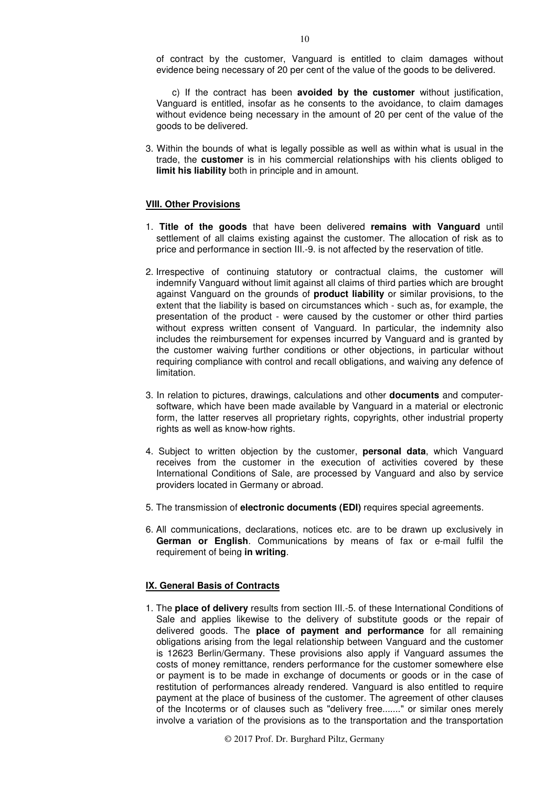of contract by the customer, Vanguard is entitled to claim damages without evidence being necessary of 20 per cent of the value of the goods to be delivered.

c) If the contract has been **avoided by the customer** without justification, Vanguard is entitled, insofar as he consents to the avoidance, to claim damages without evidence being necessary in the amount of 20 per cent of the value of the goods to be delivered.

3. Within the bounds of what is legally possible as well as within what is usual in the trade, the **customer** is in his commercial relationships with his clients obliged to **limit his liability** both in principle and in amount.

#### **VIII. Other Provisions**

- 1. **Title of the goods** that have been delivered **remains with Vanguard** until settlement of all claims existing against the customer. The allocation of risk as to price and performance in section III.-9. is not affected by the reservation of title.
- 2. Irrespective of continuing statutory or contractual claims, the customer will indemnify Vanguard without limit against all claims of third parties which are brought against Vanguard on the grounds of **product liability** or similar provisions, to the extent that the liability is based on circumstances which - such as, for example, the presentation of the product - were caused by the customer or other third parties without express written consent of Vanguard. In particular, the indemnity also includes the reimbursement for expenses incurred by Vanguard and is granted by the customer waiving further conditions or other objections, in particular without requiring compliance with control and recall obligations, and waiving any defence of limitation.
- 3. In relation to pictures, drawings, calculations and other **documents** and computersoftware, which have been made available by Vanguard in a material or electronic form, the latter reserves all proprietary rights, copyrights, other industrial property rights as well as know-how rights.
- 4. Subject to written objection by the customer, **personal data**, which Vanguard receives from the customer in the execution of activities covered by these International Conditions of Sale, are processed by Vanguard and also by service providers located in Germany or abroad.
- 5. The transmission of **electronic documents (EDI)** requires special agreements.
- 6. All communications, declarations, notices etc. are to be drawn up exclusively in **German or English**. Communications by means of fax or e-mail fulfil the requirement of being **in writing**.

### **IX. General Basis of Contracts**

1. The **place of delivery** results from section III.-5. of these International Conditions of Sale and applies likewise to the delivery of substitute goods or the repair of delivered goods. The **place of payment and performance** for all remaining obligations arising from the legal relationship between Vanguard and the customer is 12623 Berlin/Germany. These provisions also apply if Vanguard assumes the costs of money remittance, renders performance for the customer somewhere else or payment is to be made in exchange of documents or goods or in the case of restitution of performances already rendered. Vanguard is also entitled to require payment at the place of business of the customer. The agreement of other clauses of the Incoterms or of clauses such as "delivery free......." or similar ones merely involve a variation of the provisions as to the transportation and the transportation